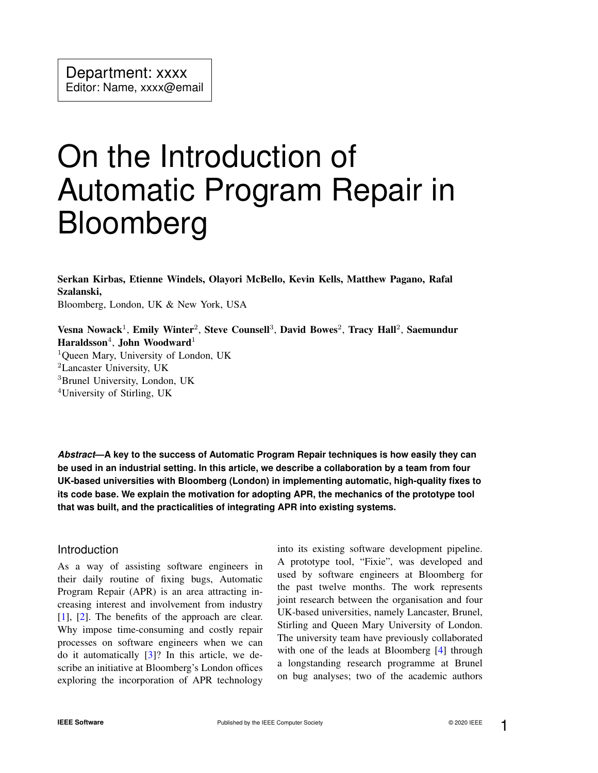# On the Introduction of Automatic Program Repair in Bloomberg

Serkan Kirbas, Etienne Windels, Olayori McBello, Kevin Kells, Matthew Pagano, Rafal Szalanski, Bloomberg, London, UK & New York, USA

Vesna Nowack<sup>1</sup>, Emily Winter<sup>2</sup>, Steve Counsell<sup>3</sup>, David Bowes<sup>2</sup>, Tracy Hall<sup>2</sup>, Saemundur Haraldsson $^4$ , John Woodward $^1$ 

<sup>1</sup>Queen Mary, University of London, UK

<sup>2</sup>Lancaster University, UK

<sup>3</sup>Brunel University, London, UK

<sup>4</sup>University of Stirling, UK

*Abstract***—A key to the success of Automatic Program Repair techniques is how easily they can be used in an industrial setting. In this article, we describe a collaboration by a team from four UK-based universities with Bloomberg (London) in implementing automatic, high-quality fixes to its code base. We explain the motivation for adopting APR, the mechanics of the prototype tool that was built, and the practicalities of integrating APR into existing systems.**

## Introduction

As a way of assisting software engineers in their daily routine of fixing bugs, Automatic Program Repair (APR) is an area attracting increasing interest and involvement from industry [\[1\]](#page-5-0), [\[2\]](#page-5-1). The benefits of the approach are clear. Why impose time-consuming and costly repair processes on software engineers when we can do it automatically [\[3\]](#page-5-2)? In this article, we describe an initiative at Bloomberg's London offices exploring the incorporation of APR technology into its existing software development pipeline. A prototype tool, "Fixie", was developed and used by software engineers at Bloomberg for the past twelve months. The work represents joint research between the organisation and four UK-based universities, namely Lancaster, Brunel, Stirling and Queen Mary University of London. The university team have previously collaborated with one of the leads at Bloomberg [\[4\]](#page-5-3) through a longstanding research programme at Brunel on bug analyses; two of the academic authors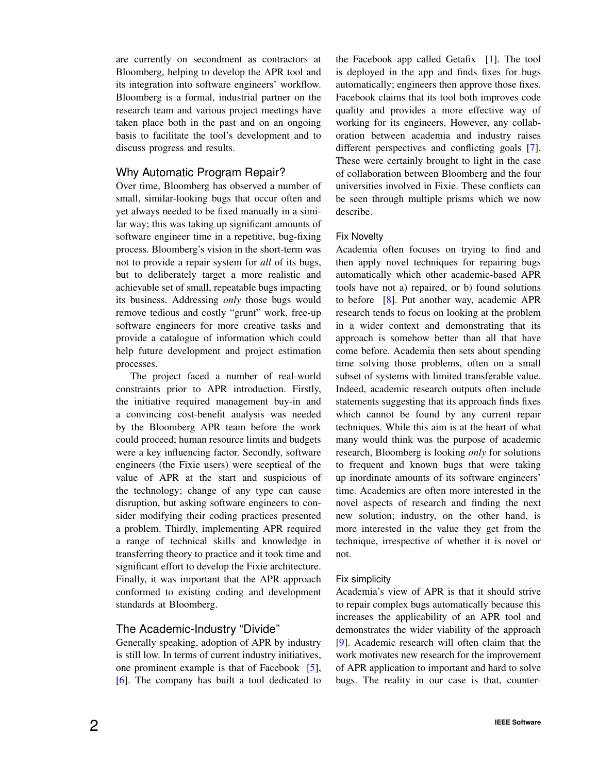are currently on secondment as contractors at Bloomberg, helping to develop the APR tool and its integration into software engineers' workflow. Bloomberg is a formal, industrial partner on the research team and various project meetings have taken place both in the past and on an ongoing basis to facilitate the tool's development and to discuss progress and results.

# Why Automatic Program Repair?

Over time, Bloomberg has observed a number of small, similar-looking bugs that occur often and yet always needed to be fixed manually in a similar way; this was taking up significant amounts of software engineer time in a repetitive, bug-fixing process. Bloomberg's vision in the short-term was not to provide a repair system for *all* of its bugs, but to deliberately target a more realistic and achievable set of small, repeatable bugs impacting its business. Addressing *only* those bugs would remove tedious and costly "grunt" work, free-up software engineers for more creative tasks and provide a catalogue of information which could help future development and project estimation processes.

The project faced a number of real-world constraints prior to APR introduction. Firstly, the initiative required management buy-in and a convincing cost-benefit analysis was needed by the Bloomberg APR team before the work could proceed; human resource limits and budgets were a key influencing factor. Secondly, software engineers (the Fixie users) were sceptical of the value of APR at the start and suspicious of the technology; change of any type can cause disruption, but asking software engineers to consider modifying their coding practices presented a problem. Thirdly, implementing APR required a range of technical skills and knowledge in transferring theory to practice and it took time and significant effort to develop the Fixie architecture. Finally, it was important that the APR approach conformed to existing coding and development standards at Bloomberg.

# The Academic-Industry "Divide"

Generally speaking, adoption of APR by industry is still low. In terms of current industry initiatives, one prominent example is that of Facebook [\[5\]](#page-5-4), [\[6\]](#page-5-5). The company has built a tool dedicated to the Facebook app called Getafix [\[1\]](#page-5-0). The tool is deployed in the app and finds fixes for bugs automatically; engineers then approve those fixes. Facebook claims that its tool both improves code quality and provides a more effective way of working for its engineers. However, any collaboration between academia and industry raises different perspectives and conflicting goals [\[7\]](#page-5-6). These were certainly brought to light in the case of collaboration between Bloomberg and the four universities involved in Fixie. These conflicts can be seen through multiple prisms which we now describe.

## Fix Novelty

Academia often focuses on trying to find and then apply novel techniques for repairing bugs automatically which other academic-based APR tools have not a) repaired, or b) found solutions to before [\[8\]](#page-5-7). Put another way, academic APR research tends to focus on looking at the problem in a wider context and demonstrating that its approach is somehow better than all that have come before. Academia then sets about spending time solving those problems, often on a small subset of systems with limited transferable value. Indeed, academic research outputs often include statements suggesting that its approach finds fixes which cannot be found by any current repair techniques. While this aim is at the heart of what many would think was the purpose of academic research, Bloomberg is looking *only* for solutions to frequent and known bugs that were taking up inordinate amounts of its software engineers' time. Academics are often more interested in the novel aspects of research and finding the next new solution; industry, on the other hand, is more interested in the value they get from the technique, irrespective of whether it is novel or not.

# Fix simplicity

Academia's view of APR is that it should strive to repair complex bugs automatically because this increases the applicability of an APR tool and demonstrates the wider viability of the approach [\[9\]](#page-5-8). Academic research will often claim that the work motivates new research for the improvement of APR application to important and hard to solve bugs. The reality in our case is that, counter-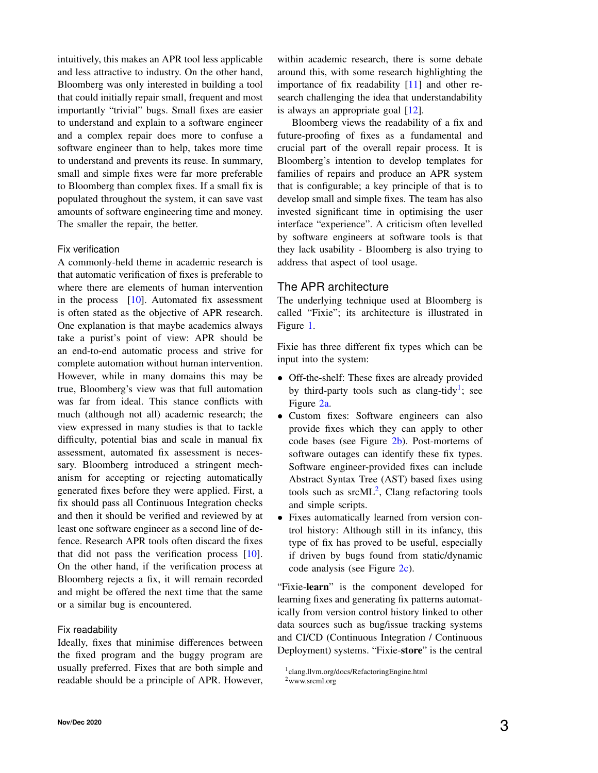intuitively, this makes an APR tool less applicable and less attractive to industry. On the other hand, Bloomberg was only interested in building a tool that could initially repair small, frequent and most importantly "trivial" bugs. Small fixes are easier to understand and explain to a software engineer and a complex repair does more to confuse a software engineer than to help, takes more time to understand and prevents its reuse. In summary, small and simple fixes were far more preferable to Bloomberg than complex fixes. If a small fix is populated throughout the system, it can save vast amounts of software engineering time and money. The smaller the repair, the better.

#### Fix verification

A commonly-held theme in academic research is that automatic verification of fixes is preferable to where there are elements of human intervention in the process [\[10\]](#page-5-9). Automated fix assessment is often stated as the objective of APR research. One explanation is that maybe academics always take a purist's point of view: APR should be an end-to-end automatic process and strive for complete automation without human intervention. However, while in many domains this may be true, Bloomberg's view was that full automation was far from ideal. This stance conflicts with much (although not all) academic research; the view expressed in many studies is that to tackle difficulty, potential bias and scale in manual fix assessment, automated fix assessment is necessary. Bloomberg introduced a stringent mechanism for accepting or rejecting automatically generated fixes before they were applied. First, a fix should pass all Continuous Integration checks and then it should be verified and reviewed by at least one software engineer as a second line of defence. Research APR tools often discard the fixes that did not pass the verification process [\[10\]](#page-5-9). On the other hand, if the verification process at Bloomberg rejects a fix, it will remain recorded and might be offered the next time that the same or a similar bug is encountered.

#### Fix readability

Ideally, fixes that minimise differences between the fixed program and the buggy program are usually preferred. Fixes that are both simple and readable should be a principle of APR. However, within academic research, there is some debate around this, with some research highlighting the importance of fix readability [\[11\]](#page-5-10) and other research challenging the idea that understandability is always an appropriate goal  $[12]$ .

Bloomberg views the readability of a fix and future-proofing of fixes as a fundamental and crucial part of the overall repair process. It is Bloomberg's intention to develop templates for families of repairs and produce an APR system that is configurable; a key principle of that is to develop small and simple fixes. The team has also invested significant time in optimising the user interface "experience". A criticism often levelled by software engineers at software tools is that they lack usability - Bloomberg is also trying to address that aspect of tool usage.

## The APR architecture

The underlying technique used at Bloomberg is called "Fixie"; its architecture is illustrated in Figure [1.](#page-3-0)

Fixie has three different fix types which can be input into the system:

- Off-the-shelf: These fixes are already provided by third-party tools such as clang-tidy<sup>[1](#page-2-0)</sup>; see Figure [2a.](#page-4-0)
- Custom fixes: Software engineers can also provide fixes which they can apply to other code bases (see Figure [2b\)](#page-4-0). Post-mortems of software outages can identify these fix types. Software engineer-provided fixes can include Abstract Syntax Tree (AST) based fixes using tools such as  $srcML^2$  $srcML^2$ , Clang refactoring tools and simple scripts.
- Fixes automatically learned from version control history: Although still in its infancy, this type of fix has proved to be useful, especially if driven by bugs found from static/dynamic code analysis (see Figure [2c\)](#page-4-0).

"Fixie-learn" is the component developed for learning fixes and generating fix patterns automatically from version control history linked to other data sources such as bug/issue tracking systems and CI/CD (Continuous Integration / Continuous Deployment) systems. "Fixie-store" is the central

<span id="page-2-0"></span><sup>1</sup> clang.llvm.org/docs/RefactoringEngine.html

<span id="page-2-1"></span><sup>2</sup>www.srcml.org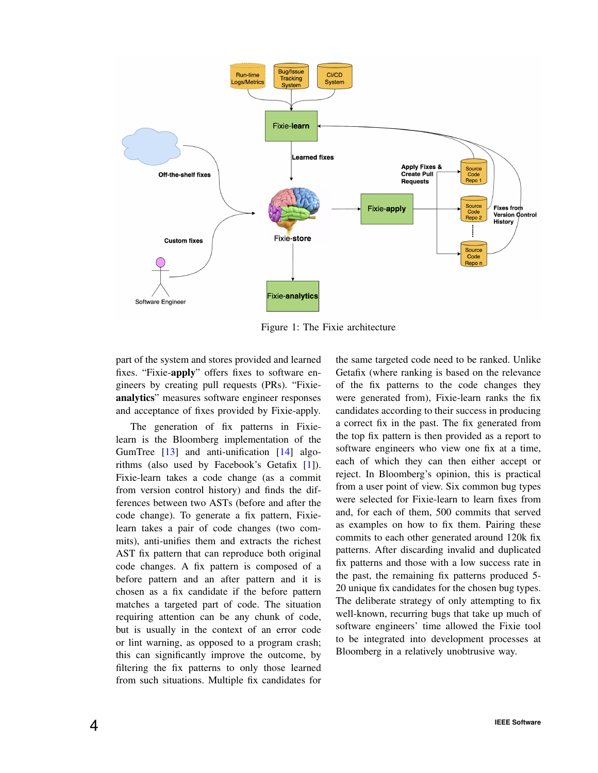<span id="page-3-0"></span>

Figure 1: The Fixie architecture

part of the system and stores provided and learned fixes. "Fixie-apply" offers fixes to software engineers by creating pull requests (PRs). "Fixieanalytics" measures software engineer responses and acceptance of fixes provided by Fixie-apply.

The generation of fix patterns in Fixielearn is the Bloomberg implementation of the GumTree [\[13\]](#page-5-12) and anti-unification [\[14\]](#page-5-13) algorithms (also used by Facebook's Getafix [\[1\]](#page-5-0)). Fixie-learn takes a code change (as a commit from version control history) and finds the differences between two ASTs (before and after the code change). To generate a fix pattern, Fixielearn takes a pair of code changes (two commits), anti-unifies them and extracts the richest AST fix pattern that can reproduce both original code changes. A fix pattern is composed of a before pattern and an after pattern and it is chosen as a fix candidate if the before pattern matches a targeted part of code. The situation requiring attention can be any chunk of code, but is usually in the context of an error code or lint warning, as opposed to a program crash; this can significantly improve the outcome, by filtering the fix patterns to only those learned from such situations. Multiple fix candidates for

the same targeted code need to be ranked. Unlike Getafix (where ranking is based on the relevance of the fix patterns to the code changes they were generated from), Fixie-learn ranks the fix candidates according to their success in producing a correct fix in the past. The fix generated from the top fix pattern is then provided as a report to software engineers who view one fix at a time, each of which they can then either accept or reject. In Bloomberg's opinion, this is practical from a user point of view. Six common bug types were selected for Fixie-learn to learn fixes from and, for each of them, 500 commits that served as examples on how to fix them. Pairing these commits to each other generated around 120k fix patterns. After discarding invalid and duplicated fix patterns and those with a low success rate in the past, the remaining fix patterns produced 5- 20 unique fix candidates for the chosen bug types. The deliberate strategy of only attempting to fix well-known, recurring bugs that take up much of software engineers' time allowed the Fixie tool to be integrated into development processes at Bloomberg in a relatively unobtrusive way.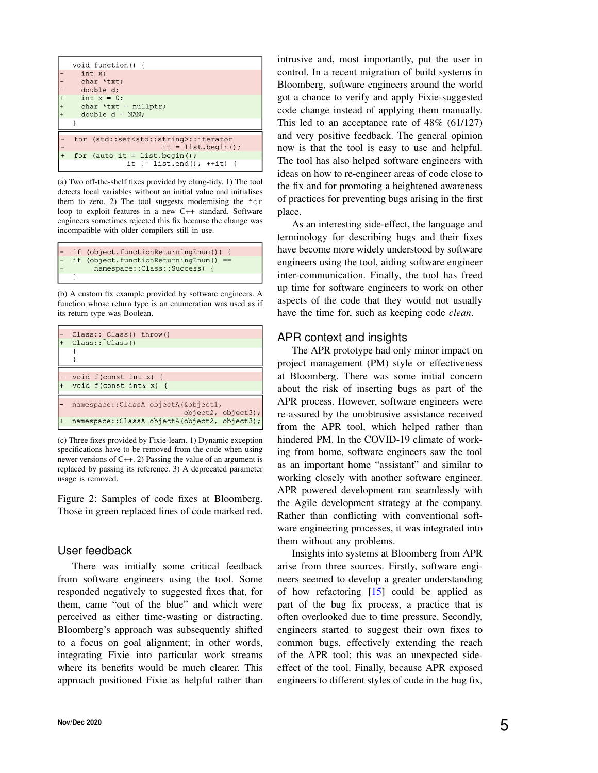<span id="page-4-0"></span>

| void function() {                                   |  |  |
|-----------------------------------------------------|--|--|
| int x;                                              |  |  |
| char *txt;                                          |  |  |
| double d;                                           |  |  |
| int $x = 0$ :                                       |  |  |
| char *txt = $nullptr;$                              |  |  |
| double $d = NAN$ :                                  |  |  |
|                                                     |  |  |
|                                                     |  |  |
| for (std::set <std::string>::iterator</std::string> |  |  |
| it = list.begin();                                  |  |  |
| for (auto it = list.begin();                        |  |  |
| it $!=$ list.end(); $++$ it) {                      |  |  |
|                                                     |  |  |

(a) Two off-the-shelf fixes provided by clang-tidy. 1) The tool detects local variables without an initial value and initialises them to zero. 2) The tool suggests modernising the for loop to exploit features in a new C++ standard. Software engineers sometimes rejected this fix because the change was incompatible with older compilers still in use.

|           | - if (object.functionReturningEnum()) { |
|-----------|-----------------------------------------|
| $\vert +$ | if (object.functionReturningEnum() ==   |
| $\vert$ + | namespace:: Class:: Success) {          |
|           |                                         |

(b) A custom fix example provided by software engineers. A function whose return type is an enumeration was used as if its return type was Boolean.

| $Class: ^{\sim} Class()$ throw()<br>Class:: Class()         |
|-------------------------------------------------------------|
|                                                             |
| void $f$ (const int x) {<br>void $f$ (const int& x) {       |
| namespace:: ClassA objectA (&object1,<br>object2, object3); |
| namespace:: ClassA objectA (object2, object3);              |

(c) Three fixes provided by Fixie-learn. 1) Dynamic exception specifications have to be removed from the code when using newer versions of C++. 2) Passing the value of an argument is replaced by passing its reference. 3) A deprecated parameter usage is removed.

Figure 2: Samples of code fixes at Bloomberg. Those in green replaced lines of code marked red.

#### User feedback

There was initially some critical feedback from software engineers using the tool. Some responded negatively to suggested fixes that, for them, came "out of the blue" and which were perceived as either time-wasting or distracting. Bloomberg's approach was subsequently shifted to a focus on goal alignment; in other words, integrating Fixie into particular work streams where its benefits would be much clearer. This approach positioned Fixie as helpful rather than

intrusive and, most importantly, put the user in control. In a recent migration of build systems in Bloomberg, software engineers around the world got a chance to verify and apply Fixie-suggested code change instead of applying them manually. This led to an acceptance rate of 48% (61/127) and very positive feedback. The general opinion now is that the tool is easy to use and helpful. The tool has also helped software engineers with ideas on how to re-engineer areas of code close to the fix and for promoting a heightened awareness of practices for preventing bugs arising in the first place.

As an interesting side-effect, the language and terminology for describing bugs and their fixes have become more widely understood by software engineers using the tool, aiding software engineer inter-communication. Finally, the tool has freed up time for software engineers to work on other aspects of the code that they would not usually have the time for, such as keeping code *clean*.

## APR context and insights

The APR prototype had only minor impact on project management (PM) style or effectiveness at Bloomberg. There was some initial concern about the risk of inserting bugs as part of the APR process. However, software engineers were re-assured by the unobtrusive assistance received from the APR tool, which helped rather than hindered PM. In the COVID-19 climate of working from home, software engineers saw the tool as an important home "assistant" and similar to working closely with another software engineer. APR powered development ran seamlessly with the Agile development strategy at the company. Rather than conflicting with conventional software engineering processes, it was integrated into them without any problems.

Insights into systems at Bloomberg from APR arise from three sources. Firstly, software engineers seemed to develop a greater understanding of how refactoring [\[15\]](#page-6-0) could be applied as part of the bug fix process, a practice that is often overlooked due to time pressure. Secondly, engineers started to suggest their own fixes to common bugs, effectively extending the reach of the APR tool; this was an unexpected sideeffect of the tool. Finally, because APR exposed engineers to different styles of code in the bug fix,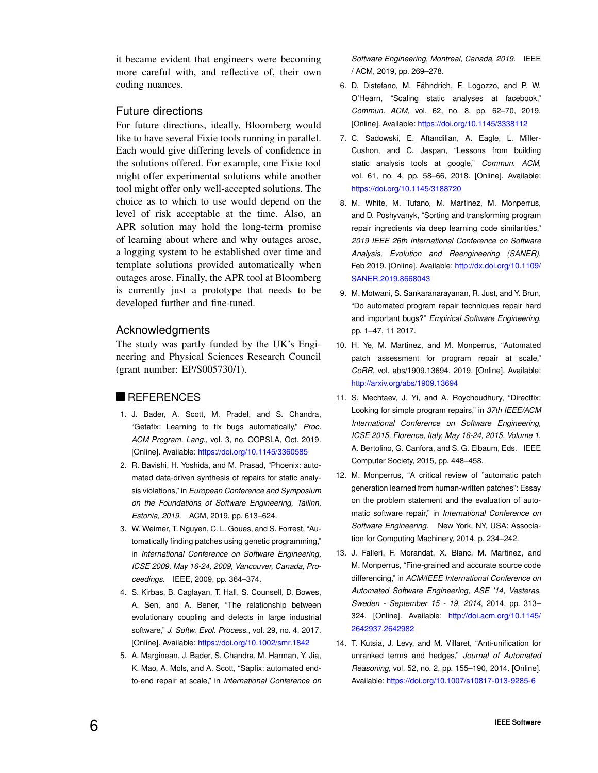it became evident that engineers were becoming more careful with, and reflective of, their own coding nuances.

# Future directions

For future directions, ideally, Bloomberg would like to have several Fixie tools running in parallel. Each would give differing levels of confidence in the solutions offered. For example, one Fixie tool might offer experimental solutions while another tool might offer only well-accepted solutions. The choice as to which to use would depend on the level of risk acceptable at the time. Also, an APR solution may hold the long-term promise of learning about where and why outages arose, a logging system to be established over time and template solutions provided automatically when outages arose. Finally, the APR tool at Bloomberg is currently just a prototype that needs to be developed further and fine-tuned.

# Acknowledgments

The study was partly funded by the UK's Engineering and Physical Sciences Research Council (grant number: EP/S005730/1).

#### **REFERENCES**

- <span id="page-5-0"></span>1. J. Bader, A. Scott, M. Pradel, and S. Chandra, "Getafix: Learning to fix bugs automatically," *Proc. ACM Program. Lang.*, vol. 3, no. OOPSLA, Oct. 2019. [Online]. Available: <https://doi.org/10.1145/3360585>
- <span id="page-5-1"></span>2. R. Bavishi, H. Yoshida, and M. Prasad, "Phoenix: automated data-driven synthesis of repairs for static analysis violations," in *European Conference and Symposium on the Foundations of Software Engineering, Tallinn, Estonia, 2019*. ACM, 2019, pp. 613–624.
- <span id="page-5-2"></span>3. W. Weimer, T. Nguyen, C. L. Goues, and S. Forrest, "Automatically finding patches using genetic programming," in *International Conference on Software Engineering, ICSE 2009, May 16-24, 2009, Vancouver, Canada, Proceedings*. IEEE, 2009, pp. 364–374.
- <span id="page-5-3"></span>4. S. Kirbas, B. Caglayan, T. Hall, S. Counsell, D. Bowes, A. Sen, and A. Bener, "The relationship between evolutionary coupling and defects in large industrial software," *J. Softw. Evol. Process.*, vol. 29, no. 4, 2017. [Online]. Available: <https://doi.org/10.1002/smr.1842>
- <span id="page-5-4"></span>5. A. Marginean, J. Bader, S. Chandra, M. Harman, Y. Jia, K. Mao, A. Mols, and A. Scott, "Sapfix: automated endto-end repair at scale," in *International Conference on*

*Software Engineering, Montreal, Canada, 2019*. IEEE / ACM, 2019, pp. 269–278.

- <span id="page-5-5"></span>6. D. Distefano, M. Fähndrich, F. Logozzo, and P. W. O'Hearn, "Scaling static analyses at facebook," *Commun. ACM*, vol. 62, no. 8, pp. 62–70, 2019. [Online]. Available: <https://doi.org/10.1145/3338112>
- <span id="page-5-6"></span>7. C. Sadowski, E. Aftandilian, A. Eagle, L. Miller-Cushon, and C. Jaspan, "Lessons from building static analysis tools at google," *Commun. ACM*, vol. 61, no. 4, pp. 58–66, 2018. [Online]. Available: <https://doi.org/10.1145/3188720>
- <span id="page-5-7"></span>8. M. White, M. Tufano, M. Martinez, M. Monperrus, and D. Poshyvanyk, "Sorting and transforming program repair ingredients via deep learning code similarities," *2019 IEEE 26th International Conference on Software Analysis, Evolution and Reengineering (SANER)*, Feb 2019. [Online]. Available: [http://dx.doi.org/10.1109/](http://dx.doi.org/10.1109/SANER.2019.8668043) [SANER.2019.8668043](http://dx.doi.org/10.1109/SANER.2019.8668043)
- <span id="page-5-8"></span>9. M. Motwani, S. Sankaranarayanan, R. Just, and Y. Brun, "Do automated program repair techniques repair hard and important bugs?" *Empirical Software Engineering*, pp. 1–47, 11 2017.
- <span id="page-5-9"></span>10. H. Ye, M. Martinez, and M. Monperrus, "Automated patch assessment for program repair at scale," *CoRR*, vol. abs/1909.13694, 2019. [Online]. Available: <http://arxiv.org/abs/1909.13694>
- <span id="page-5-10"></span>11. S. Mechtaev, J. Yi, and A. Roychoudhury, "Directfix: Looking for simple program repairs," in *37th IEEE/ACM International Conference on Software Engineering, ICSE 2015, Florence, Italy, May 16-24, 2015, Volume 1*, A. Bertolino, G. Canfora, and S. G. Elbaum, Eds. IEEE Computer Society, 2015, pp. 448–458.
- <span id="page-5-11"></span>12. M. Monperrus, "A critical review of "automatic patch generation learned from human-written patches": Essay on the problem statement and the evaluation of automatic software repair," in *International Conference on Software Engineering*. New York, NY, USA: Association for Computing Machinery, 2014, p. 234–242.
- <span id="page-5-12"></span>13. J. Falleri, F. Morandat, X. Blanc, M. Martinez, and M. Monperrus, "Fine-grained and accurate source code differencing," in *ACM/IEEE International Conference on Automated Software Engineering, ASE '14, Vasteras, Sweden - September 15 - 19, 2014*, 2014, pp. 313– 324. [Online]. Available: [http://doi.acm.org/10.1145/](http://doi.acm.org/10.1145/2642937.2642982) [2642937.2642982](http://doi.acm.org/10.1145/2642937.2642982)
- <span id="page-5-13"></span>14. T. Kutsia, J. Levy, and M. Villaret, "Anti-unification for unranked terms and hedges," *Journal of Automated Reasoning*, vol. 52, no. 2, pp. 155–190, 2014. [Online]. Available: <https://doi.org/10.1007/s10817-013-9285-6>